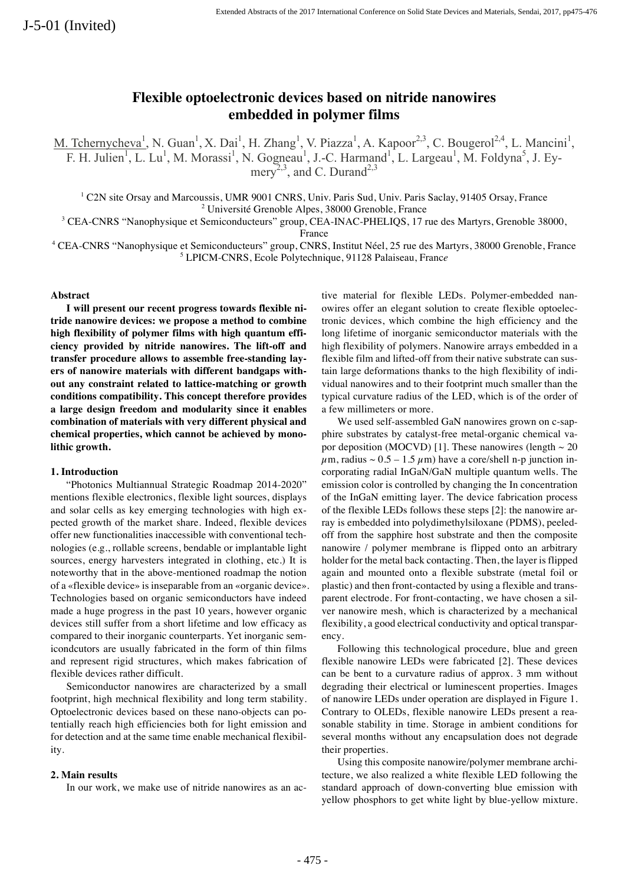# **Flexible optoelectronic devices based on nitride nanowires embedded in polymer films**

M. Tchernycheva<sup>1</sup>, N. Guan<sup>1</sup>, X. Dai<sup>1</sup>, H. Zhang<sup>1</sup>, V. Piazza<sup>1</sup>, A. Kapoor<sup>2,3</sup>, C. Bougerol<sup>2,4</sup>, L. Mancini<sup>1</sup>, F. H. Julien<sup>1</sup>, L. Lu<sup>1</sup>, M. Morassi<sup>1</sup>, N. Gogneau<sup>1</sup>, J.-C. Harmand<sup>1</sup>, L. Largeau<sup>1</sup>, M. Foldyna<sup>5</sup>, J. Eymery<sup>2,3</sup>, and C. Durand<sup>2,3</sup>

<sup>1</sup> C2N site Orsay and Marcoussis, UMR 9001 CNRS, Univ. Paris Sud, Univ. Paris Saclay, 91405 Orsay, France  $2 \text{ Université Grenoble Alpes}, 38000 Grenoble, France$ 

<sup>3</sup> CEA-CNRS "Nanophysique et Semiconducteurs" group, CEA-INAC-PHELIQS, 17 rue des Martyrs, Grenoble 38000,

France

<sup>4</sup> CEA-CNRS "Nanophysique et Semiconducteurs" group, CNRS, Institut Néel, 25 rue des Martyrs, 38000 Grenoble, France <sup>5</sup> LPICM-CNRS, Ecole Polytechnique, 91128 Palaiseau, Franc*e*

# **Abstract**

**I will present our recent progress towards flexible nitride nanowire devices: we propose a method to combine high flexibility of polymer films with high quantum efficiency provided by nitride nanowires. The lift-off and transfer procedure allows to assemble free-standing layers of nanowire materials with different bandgaps without any constraint related to lattice-matching or growth conditions compatibility. This concept therefore provides a large design freedom and modularity since it enables combination of materials with very different physical and chemical properties, which cannot be achieved by monolithic growth.** 

#### **1. Introduction**

"Photonics Multiannual Strategic Roadmap 2014-2020" mentions flexible electronics, flexible light sources, displays and solar cells as key emerging technologies with high expected growth of the market share. Indeed, flexible devices offer new functionalities inaccessible with conventional technologies (e.g., rollable screens, bendable or implantable light sources, energy harvesters integrated in clothing, etc.) It is noteworthy that in the above-mentioned roadmap the notion of a «flexible device» is inseparable from an «organic device». Technologies based on organic semiconductors have indeed made a huge progress in the past 10 years, however organic devices still suffer from a short lifetime and low efficacy as compared to their inorganic counterparts. Yet inorganic semicondcutors are usually fabricated in the form of thin films and represent rigid structures, which makes fabrication of flexible devices rather difficult.

Semiconductor nanowires are characterized by a small footprint, high mechnical flexibility and long term stability. Optoelectronic devices based on these nano-objects can potentially reach high efficiencies both for light emission and for detection and at the same time enable mechanical flexibility.

## **2. Main results**

In our work, we make use of nitride nanowires as an ac-

tive material for flexible LEDs. Polymer-embedded nanowires offer an elegant solution to create flexible optoelectronic devices, which combine the high efficiency and the long lifetime of inorganic semiconductor materials with the high flexibility of polymers. Nanowire arrays embedded in a flexible film and lifted-off from their native substrate can sustain large deformations thanks to the high flexibility of individual nanowires and to their footprint much smaller than the typical curvature radius of the LED, which is of the order of a few millimeters or more.

We used self-assembled GaN nanowires grown on c-sapphire substrates by catalyst-free metal-organic chemical vapor deposition (MOCVD) [1]. These nanowires (length  $\sim 20$  $\mu$ m, radius ~ 0.5 – 1.5  $\mu$ m) have a core/shell n-p junction incorporating radial InGaN/GaN multiple quantum wells. The emission color is controlled by changing the In concentration of the InGaN emitting layer. The device fabrication process of the flexible LEDs follows these steps [2]: the nanowire array is embedded into polydimethylsiloxane (PDMS), peeledoff from the sapphire host substrate and then the composite nanowire / polymer membrane is flipped onto an arbitrary holder for the metal back contacting. Then, the layer is flipped again and mounted onto a flexible substrate (metal foil or plastic) and then front-contacted by using a flexible and transparent electrode. For front-contacting, we have chosen a silver nanowire mesh, which is characterized by a mechanical flexibility, a good electrical conductivity and optical transparency.

Following this technological procedure, blue and green flexible nanowire LEDs were fabricated [2]. These devices can be bent to a curvature radius of approx. 3 mm without degrading their electrical or luminescent properties. Images of nanowire LEDs under operation are displayed in Figure 1. Contrary to OLEDs, flexible nanowire LEDs present a reasonable stability in time. Storage in ambient conditions for several months without any encapsulation does not degrade their properties.

Using this composite nanowire/polymer membrane architecture, we also realized a white flexible LED following the standard approach of down-converting blue emission with yellow phosphors to get white light by blue-yellow mixture.